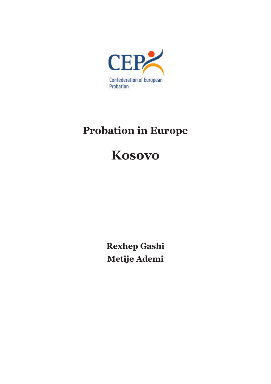

# **Probation in Europe**

# **Kosovo**

**Rexhep Gashi Metije Ademi**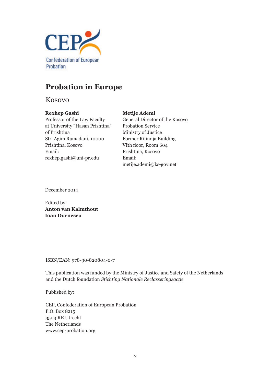

## **Probation in Europe**

Kosovo

## **Rexhep Gashi**

## **Metije Ademi**

Professor of the Law Faculty at University "Hasan Prishtina" of Prishtina Str. Agim Ramadani, 10000 Prishtina, Kosovo Email: rexhep.gashi@uni-pr.edu

General Director of the Kosovo Probation Service Ministry of Justice Former Rilindja Building VIth floor, Room 604 Prishtina, Kosovo Email: metije.ademi@ks-gov.net

December 2014

Edited by: **Anton van Kalmthout Ioan Durnescu**

ISBN/EAN: 978-90-820804-0-7

This publication was funded by the Ministry of Justice and Safety of the Netherlands and the Dutch foundation *Stichting Nationale Reclasseringsactie*

Published by:

CEP, Confederation of European Probation P.O. Box 8215 3503 RE Utrecht The Netherlands www.cep-probation.org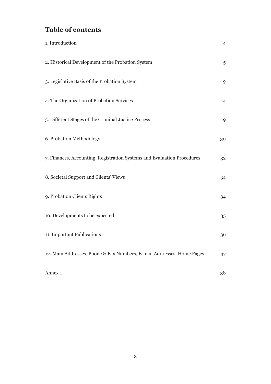# **Table of contents**

| 1. Introduction                                                         | $\overline{4}$ |
|-------------------------------------------------------------------------|----------------|
| 2. Historical Development of the Probation System                       | 5              |
| 3. Legislative Basis of the Probation System                            | 9              |
| 4. The Organization of Probation Services                               | 14             |
| 5. Different Stages of the Criminal Justice Process                     | 19             |
| 6. Probation Methodology                                                | 30             |
| 7. Finances, Accounting, Registration Systems and Evaluation Procedures | 32             |
| 8. Societal Support and Clients' Views                                  | 34             |
| 9. Probation Clients Rights                                             | 34             |
| 10. Developments to be expected                                         | 35             |
| 11. Important Publications                                              | 36             |
| 12. Main Addresses, Phone & Fax Numbers, E-mail Addresses, Home Pages   | 37             |
| Annex <sub>1</sub>                                                      | 38             |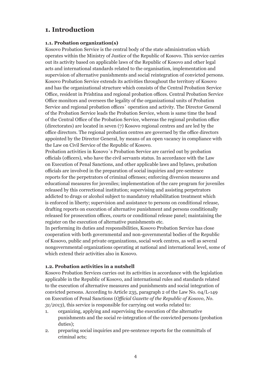## **1. Introduction**

#### **1.1. Probation organization(s)**

Kosovo Probation Service is the central body of the state administration which operates within the Ministry of Justice of the Republic of Kosovo. This service carries out its activity based on applicable laws of the Republic of Kosovo and other legal acts and international standards related to the organisation, implementation and supervision of alternative punishments and social reintegration of convicted persons. Kosovo Probation Service extends its activities throughout the territory of Kosovo and has the organizational structure which consists of the Central Probation Service Office, resident in Prishtina and regional probation offices. Central Probation Service Office monitors and oversees the legality of the organizational units of Probation Service and regional probation offices` operation and activity. The Director General of the Probation Service leads the Probation Service, whom is same time the head of the Central Office of the Probation Service, whereas the regional probation office (directorates) are located in seven (7) Kosovo regional centres and are led by the office directors. The regional probation centres are governed by the office directors appointed by the Director General, by means of an open vacancy in compliance with the Law on Civil Service of the Republic of Kosovo.

Probation activities in Kosovo`s Probation Service are carried out by probation officials (officers), who have the civil servants status. In accordance with the Law on Execution of Penal Sanctions, and other applicable laws and bylaws, probation officials are involved in the preparation of social inquiries and pre-sentence reports for the perpetrators of criminal offenses; enforcing diversion measures and educational measures for juveniles; implementation of the care program for juveniles released by this correctional institution; supervising and assisting perpetrators addicted to drugs or alcohol subject to mandatory rehabilitation treatment which is enforced in liberty; supervision and assistance to persons on conditional release, drafting reports on execution of alternative punishment and persons conditionally released for prosecution offices, courts or conditional release panel; maintaining the register on the execution of alternative punishments etc.

In performing its duties and responsibilities, Kosovo Probation Service has close cooperation with both governmental and non-governmental bodies of the Republic of Kosovo, public and private organizations, social work centres, as well as several nongovernmental organizations operating at national and international level, some of which extend their activities also in Kosovo.

#### **1.2. Probation activities in a nutshell**

Kosovo Probation Services carries out its activities in accordance with the legislation applicable in the Republic of Kosovo, and international rules and standards related to the execution of alternative measures and punishments and social integration of convicted persons. According to Article 235, paragraph 2 of the Law No. 04/L-149 on Execution of Penal Sanctions (*Official Gazette of the Republic of Kosovo, No. 31/2013*), this service is responsible for carrying out works related to:

- 1. organizing, applying and supervising the execution of the alternative punishments and the social re-integration of the convicted persons (probation duties);
- 2. preparing social inquiries and pre-sentence reports for the committals of criminal acts;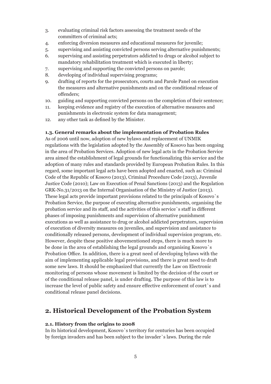- 3. evaluating criminal risk factors assessing the treatment needs of the committers of criminal acts;
- 4. enforcing diversion measures and educational measures for juvenile;
- 5. supervising and assisting convicted persons serving alternative punishments;
- 6. supervising and assisting perpetrators addicted to drugs or alcohol subject to mandatory rehabilitation treatment which is executed in liberty;
- 7. supervising and supporting the convicted persons on parole;
- 8. developing of individual supervising programs;
- 9. drafting of reports for the prosecutors, courts and Parole Panel on execution the measures and alternative punishments and on the conditional release of offenders;
- 10. guiding and supporting convicted persons on the completion of their sentence;
- 11. keeping evidence and registry of the execution of alternative measures and punishments in electronic system for data management;
- 12. any other task as defined by the Minister.

#### **1.3. General remarks about the implementation of Probation Rules**

As of 2006 until now, adoption of new bylaws and replacement of UNMIK regulations with the legislation adopted by the Assembly of Kosovo has been ongoing in the area of Probation Services. Adoption of new legal acts in the Probation Service area aimed the establishment of legal grounds for functionalizing this service and the adoption of many rules and standards provided by European Probation Rules. In this regard, some important legal acts have been adopted and enacted, such as: Criminal Code of the Republic of Kosovo (2013), Criminal Procedure Code (2013), Juvenile Justice Code (2010); Law on Execution of Penal Sanctions (2013) and the Regulation GRK-No.31/2013 on the Internal Organisation of the Ministry of Justice (2013). These legal acts provide important provisions related to the principals of Kosovo`s Probation Service, the purpose of executing alternative punishments, organising the probation service and its staff, and the activities of this service`s staff in different phases of imposing punishments and supervision of alternative punishment executions as well as assistance to drug or alcohol addicted perpetrators, supervision of execution of diversity measures on juveniles, and supervision and assistance to conditionally released persons, development of individual supervision program, etc. However, despite these positive abovementioned steps, there is much more to be done in the area of establishing the legal grounds and organising Kosovo`s Probation Office. In addition, there is a great need of developing bylaws with the aim of implementing applicable legal provisions, and there is great need to draft some new laws. It should be emphasized that currently the Law on Electronic monitoring of persons whose movement is limited by the decision of the court or of the conditional release panel, is under drafting. The purpose of this law is to increase the level of public safety and ensure effective enforcement of court`s and conditional release panel decisions.

## **2. Historical Development of the Probation System**

#### **2.1. History from the origins to 2008**

In its historical development, Kosovo`s territory for centuries has been occupied by foreign invaders and has been subject to the invader`s laws. During the rule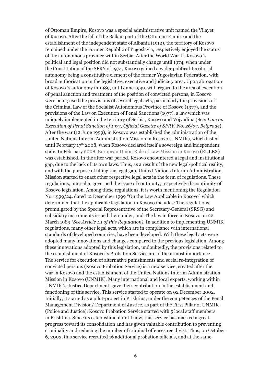of Ottoman Empire, Kosovo was a special administrative unit named the Vilayet of Kosovo. After the fall of the Balkan part of the Ottoman Empire and the establishment of the independent state of Albania (1912), the territory of Kosovo remained under the Former Republic of Yugoslavia, respectively enjoyed the status of the autonomous province within Serbia. After the World War II, Kosovo`s political and legal position did not substantially change until 1974, when under the Constitution of the SFRY of 1974, Kosovo gained a wider political-territorial autonomy being a constitutive element of the former Yugoslavian Federation, with broad authorisation in the legislative, executive and judiciary area. Upon abrogation of Kosovo`s autonomy in 1989, until June 1999, with regard to the area of execution of penal sanction and treatment of the position of convicted persons, in Kosovo were being used the provisions of several legal acts, particularly the provisions of the Criminal Law of the Socialist Autonomous Province of Kosovo (1977), and the provisions of the Law on Execution of Penal Sanctions (1977), a law which was uniquely implemented in the territory of Serbia, Kosovo and Vojvodina (See: *Law on Execution of Penal Sanction of 1977, Official Gazette of SFRY, No. 26/77, Belgrade*). After the war (12 June 1999), in Kosovo was established the administration of the United Nations Interim Administration Mission in Kosovo (UNMIK), which lasted until February  $17<sup>th</sup>$  2008, when Kosovo declared itself a sovereign and independent state. In February 2008, European Union Rule of Law Mission in Kosovo (EULEX) was established. In the after war period, Kosovo encountered a legal and institutional gap, due to the lack of its own laws. Thus, as a result of the new legal-political reality, and with the purpose of filling the legal gap, United Nations Interim Administration Mission started to enact other respective legal acts in the form of regulations. These regulations, inter alia, governed the issue of continuity, respectively discontinuity of Kosovo legislation. Among these regulations, it is worth mentioning the Regulation No. 1999/24, dated 12 December 1999 "On the Law Applicable in Kosovo" which determined that the applicable legislation in Kosovo includes: The regulations promulgated by the Special Representative of the Secretary-General (SRSG) and subsidiary instruments issued thereunder; and The law in force in Kosovo on 22 March 1989 *(See Article 1.1 of this Regulation).* In addition to implementing UNMIK regulations, many other legal acts, which are in compliance with international standards of developed countries, have been developed. With these legal acts were adopted many innovations and changes compared to the previous legislation. Among these innovations adopted by this legislation, undoubtedly, the provisions related to the establishment of Kosovo`s Probation Service are of the utmost importance. The service for execution of alternative punishments and social re-integration of convicted persons (Kosovo Probation Service) is a new service, created after the war in Kosovo and the establishment of the United Nations Interim Administration Mission in Kosovo (UNMIK). Many international and local experts, working within UNMIK`s Justice Department, gave their contribution in the establishment and functioning of this service. This service started to operate on 02 December 2002. Initially, it started as a pilot-project in Prishtina, under the competences of the Penal Management Division/ Department of Justice, as part of the First Pillar of UNMIK (Police and Justice). Kosovo Probation Service started with 5 local staff members in Prishtina. Since its establishment until now, this service has marked a great progress toward its consolidation and has given valuable contribution to preventing criminality and reducing the number of criminal offences recidivist. Thus, on October 6, 2003, this service recruited 16 additional probation officials, and at the same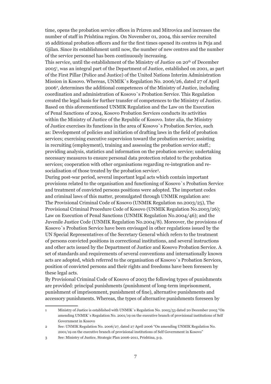time, opens the probation service offices in Prizren and Mitrovica and increases the number of staff in Prishtina region. On November 01, 2004, this service recruited 16 additional probation officers and for the first times opened its centres in Peja and Gjilan. Since its establishment until now, the number of new centres and the number of the service personnel has been continuously increasing.

This service, until the establishment of the Ministry of Justice on 20<sup>th</sup> of December 20051 , was an integral part of the Department of Justice, established on 2001, as part of the First Pillar (Police and Justice) of the United Nations Interim Administration Mission in Kosovo. Whereas, UNMIK`s Regulation No. 2006/26, dated 27 of April 2006<sup>2</sup> , determines the additional competences of the Ministry of Justice, including coordination and administration of Kosovo`s Probation Service. This Regulation created the legal basis for further transfer of competences to the Ministry of Justice. Based on this aforementioned UNMIK Regulation and the Law on the Execution of Penal Sanctions of 2004, Kosovo Probation Services conducts its activities within the Ministry of Justice of the Republic of Kosovo. Inter alia, the Ministry of Justice exercises its functions in the area of Kosovo`s Probation Service, such as: Development of policies and initiation of drafting laws in the field of probation services; exercising executive supervision toward the probation service; assisting in recruiting (employment), training and assessing the probation service staff.; providing analysis, statistics and information on the probation service; undertaking necessary measures to ensure personal data protection related to the probation services; cooperation with other organisations regarding re-integration and resocialisation of those treated by the probation service3 .

During post-war period, several important legal acts which contain important provisions related to the organisation and functioning of Kosovo`s Probation Service and treatment of convicted persons positions were adopted. The important codes and criminal laws of this matter, promulgated through UNMIK regulation are: The Provisional Criminal Code of Kosovo (UNMIK Regulation no.2003/25), The Provisional Criminal Procedure Code of Kosovo (UNMIK Regulation No.2003/26); Law on Execution of Penal Sanctions (UNMIK Regulation No.2004/46); and the Juvenile Justice Code (UNMIK Regulation No.2004/8). Moreover, the provisions of Kosovo`s Probation Service have been envisaged in other regulations issued by the UN Special Representatives of the Secretary General which refers to the treatment of persons convicted positions in correctional institutions, and several instructions and other acts issued by the Department of Justice and Kosovo Probation Service. A set of standards and requirements of several conventions and internationally known acts are adopted, which referred to the organisation of Kosovo`s Probation Services, position of convicted persons and their rights and freedoms have been foreseen by these legal acts.

By Provisional Criminal Code of Kosovo of 2003 the following types of punishments are provided: principal punishments (punishment of long-term imprisonment, punishment of imprisonment, punishment of fine), alternative punishments and accessory punishments. Whereas, the types of alternative punishments foreseen by

<sup>1</sup> Ministry of Justice is established with UNMIK`s Regulation No. 2005/53 dated 20 December 2005 "On amending UNMIK`s Regulation No. 2001/19 on the executive branch of provisional institutions of Self Government in Kosovo

<sup>2</sup> See: UNMIK Regulation No. 2006/27, dated 27 April 2006 "On amending UNMIK Regulation No. 2001/19 on the executive branch of provisional institutions of Self Government in Kosovo"

<sup>3</sup> See: Ministry of Justice, Strategic Plan 2006-2011, Prishtina, p.9.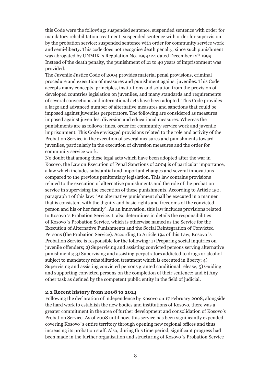this Code were the following: suspended sentence, suspended sentence with order for mandatory rehabilitation treatment; suspended sentence with order for supervision by the probation service; suspended sentence with order for community service work and semi-liberty. This code does not recognise death penalty, since such punishment was abrogated by UNMIK`s Regulation No. 1999/24 dated December 12<sup>th</sup> 1999. Instead of the death penalty, the punishment of 21 to 40 years of imprisonment was provided.

The Juvenile Justice Code of 2004 provides material penal provisions, criminal procedure and execution of measures and punishment against juveniles. This Code accepts many concepts, principles, institutions and solution from the provision of developed countries legislation on juveniles, and many standards and requirements of several convections and international acts have been adopted. This Code provides a large and advanced number of alternative measures and sanctions that could be imposed against juveniles perpetrators. The following are considered as measures imposed against juveniles: diversion and educational measures. Whereas the punishments are as follows: fines, order for community service work and juvenile imprisonment. This Code envisaged provisions related to the role and activity of the Probation Service in the execution of several measures and punishments toward juveniles, particularly in the execution of diversion measures and the order for community service work.

No doubt that among these legal acts which have been adopted after the war in Kosovo, the Law on Execution of Penal Sanctions of 2004 is of particular importance, a law which includes substantial and important changes and several innovations compared to the previous penitentiary legislation. This law contains provisions related to the execution of alternative punishments and the role of the probation service in supervising the execution of these punishments. According to Article 150, paragraph 1 of this law: "An alternative punishment shall be executed in a manner that is consistent with the dignity and basic rights and freedoms of the convicted person and his or her family". As an innovation, this law includes provisions related to Kosovo`s Probation Service. It also determines in details the responsibilities of Kosovo`s Probation Service, which is otherwise named as the Service for the Execution of Alternative Punishments and the Social Reintegration of Convicted Persons (the Probation Service). According to Article 194 of this Law, Kosovo`s Probation Service is responsible for the following: 1) Preparing social inquiries on juvenile offenders; 2) Supervising and assisting convicted persons serving alternative punishments; 3) Supervising and assisting perpetrators addicted to drugs or alcohol subject to mandatory rehabilitation treatment which is executed in liberty; 4) Supervising and assisting convicted persons granted conditional release; 5) Guiding and supporting convicted persons on the completion of their sentence; and 6) Any other task as defined by the competent public entity in the field of judicial.

#### **2.2 Recent history from 2008 to 2014**

Following the declaration of independence by Kosovo on 17 February 2008, alongside the hard work to establish the new bodies and institutions of Kosovo, there was a greater commitment in the area of further development and consolidation of Kosovo's Probation Service. As of 2008 until now, this service has been significantly expended, covering Kosovo`s entire territory through opening new regional offices and thus increasing its probation staff. Also, during this time period, significant progress had been made in the further organisation and structuring of Kosovo`s Probation Service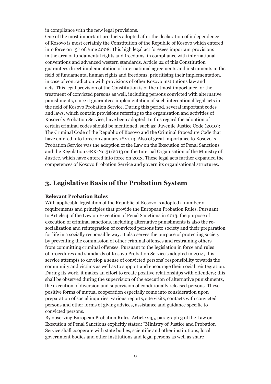in compliance with the new legal provisions.

One of the most important products adopted after the declaration of independence of Kosovo is most certainly the Constitution of the Republic of Kosovo which entered into force on  $15<sup>th</sup>$  of June 2008. This high legal act foresees important provisions in the area of fundamental rights and freedoms, in compliance with international conventions and advanced western standards. Article 22 of this Constitution guarantees direct implementation of international agreements and instruments in the field of fundamental human rights and freedoms, prioritising their implementation, in case of contradiction with provisions of other Kosovo institutions law and acts. This legal provision of the Constitution is of the utmost importance for the treatment of convicted persons as well, including persons convicted with alternative punishments, since it guarantees implementation of such international legal acts in the field of Kosovo Probation Service. During this period, several important codes and laws, which contain provisions referring to the organisation and activities of Kosovo`s Probation Service, have been adopted. In this regard the adoption of certain criminal codes should be mentioned, such as: Juvenile Justice Code (2010); The Criminal Code of the Republic of Kosovo and the Criminal Procedure Code that have entered into force on January 1st 2013. Also of great importance to Kosovo's Probation Service was the adoption of the Law on the Execution of Penal Sanctions and the Regulation GRK-No.31/2013 on the Internal Organisation of the Ministry of Justice, which have entered into force on 2013. These legal acts further expanded the competences of Kosovo Probation Service and govern its organisational structures.

## **3. Legislative Basis of the Probation System**

#### **Relevant Probation Rules**

With applicable legislation of the Republic of Kosovo is adopted a number of requirements and principles that provide the European Probation Rules. Pursuant to Article 4 of the Law on Execution of Penal Sanctions in 2013, the purpose of execution of criminal sanctions, including alternative punishments is also the resocialization and reintegration of convicted persons into society and their preparation for life in a socially responsible way. It also serves the purpose of protecting society by preventing the commission of other criminal offenses and restraining others from committing criminal offenses. Pursuant to the legislation in force and rules of procedures and standards of Kosovo Probation Service's adopted in 2014, this service attempts to develop a sense of convicted persons' responsibility towards the community and victims as well as to support and encourage their social reintegration. During its work, it makes an effort to create positive relationships with offenders; this shall be observed during the supervision of the execution of alternative punishments, the execution of diversion and supervision of conditionally released persons. These positive forms of mutual cooperation especially come into consideration upon preparation of social inquiries, various reports, site visits, contacts with convicted persons and other forms of giving advices, assistance and guidance specific to convicted persons.

By observing European Probation Rules, Article 235, paragraph 3 of the Law on Execution of Penal Sanctions explicitly stated: "Ministry of Justice and Probation Service shall cooperate with state bodies, scientific and other institutions, local government bodies and other institutions and legal persons as well as share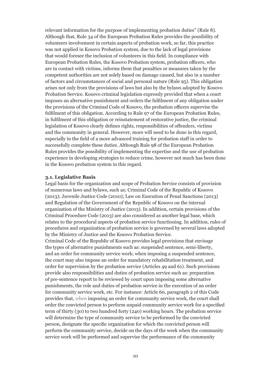relevant information for the purpose of implementing probation duties" (Rule 8). Although that, Rule 34 of the European Probation Rules provides the possibility of volunteers involvement in certain aspects of probation work, so far, this practice was not applied in Kosovo Probation system, due to the lack of legal provisions that would foresee the inclusion of volunteers in this field. In compliance with European Probation Rules, the Kosovo Probation system, probation officers, who are in contact with victims, informs them that penalties or measures taken by the competent authorities are not solely based on damage caused, but also in a number of factors and circumstances of social and personal nature (Rule 95). This obligation arises not only from the provisions of laws but also by the bylaws adopted by Kosovo Probation Service. Kosovo criminal legislation expressly provided that when a court imposes an alternative punishment and orders the fulfilment of any obligation under the provisions of the Criminal Code of Kosovo, the probation officers supervise the fulfilment of this obligation. According to Rule 97 of the European Probation Rules, in fulfilment of this obligation or reinstatement of restorative justice, the criminal legislation of Kosovo clearly defines rights, responsibilities of offenders, victims and the community in general. However, more will need to be done in this regard, especially in the field of a more advanced training for probation staff in order to successfully complete these duties. Although Rule 98 of the European Probation Rules provides the possibility of implementing the expertise and the use of probation experience in developing strategies to reduce crime, however not much has been done in the Kosovo probation system in this regard.

#### **3.1. Legislative Basis**

Legal basis for the organization and scope of Probation Service consists of provision of numerous laws and bylaws, such as; Criminal Code of the Republic of Kosovo (2013); Juvenile Justice Code (2010); Law on Execution of Penal Sanctions (2013) and Regulation of the Government of the Republic of Kosovo on the internal organization of the Ministry of Justice (2013). In addition, certain provisions of the Criminal Procedure Code (2013) are also considered as another legal base, which relates to the procedural aspects of probation service functioning. In addition, rules of procedures and organization of probation service is governed by several laws adopted by the Ministry of Justice and the Kosovo Probation Service.

Criminal Code of the Republic of Kosovo provides legal provisions that envisage the types of alternative punishments such as: suspended sentence, semi-liberty, and an order for community service work; when imposing a suspended sentence, the court may also impose an order for mandatory rehabilitation treatment, and order for supervision by the probation service (Articles 49 and 61). Such provisions provide also responsibilities and duties of probation service such as: preparation of pre-sentence report to be reviewed by court upon imposing some alternative punishments, the role and duties of probation service in the execution of an order for community service work, etc. For instance: Article 60, paragraph 2 of this Code provides that, when imposing an order for community service work, the court shall order the convicted person to perform unpaid community service work for a specified term of thirty (30) to two hundred forty (240) working hours. The probation service will determine the type of community service to be performed by the convicted person, designate the specific organization for which the convicted person will perform the community service, decide on the days of the week when the community service work will be performed and supervise the performance of the community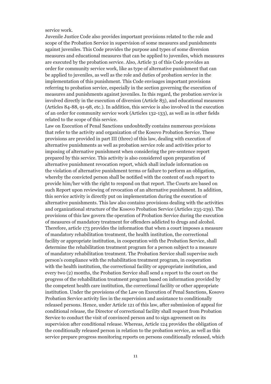service work.

Juvenile Justice Code also provides important provisions related to the role and scope of the Probation Service in supervision of some measures and punishments against juveniles. This Code provides the purpose and types of some diversion measures and educational measures that can be applied to juveniles, which measures are executed by the probation service. Also, Article 31 of this Code provides an order for community service work, like as type of alternative punishment that can be applied to juveniles, as well as the role and duties of probation service in the implementation of this punishment. This Code envisages important provisions referring to probation service, especially in the section governing the execution of measures and punishments against juveniles. In this regard, the probation service is involved directly in the execution of diversion (Article 83), and educational measures (Articles 84-88, 91-98, etc.). In addition, this service is also involved in the execution of an order for community service work (Articles 132-133), as well as in other fields related to the scope of this service.

Law on Execution of Penal Sanctions undoubtedly contains numerous provisions that refer to the activity and organization of the Kosovo Probation Service. These provisions are provided in part III (three) of this law, dealing with execution of alternative punishments as well as probation service role and activities prior to imposing of alternative punishment when considering the pre-sentence report prepared by this service. This activity is also considered upon preparation of alternative punishment revocation report, which shall include information on the violation of alternative punishment terms or failure to perform an obligation, whereby the convicted person shall be notified with the content of such report to provide him/her with the right to respond on that report. The Courts are based on such Report upon reviewing of revocation of an alternative punishment. In addition, this service activity is directly put on implementation during the execution of alternative punishments. This law also contains provisions dealing with the activities and organizational structure of the Kosovo Probation Service (Articles 235-239). The provisions of this law govern the operation of Probation Service during the execution of measures of mandatory treatment for offenders addicted to drugs and alcohol. Therefore, article 173 provides the information that when a court imposes a measure of mandatory rehabilitation treatment, the health institution, the correctional facility or appropriate institution, in cooperation with the Probation Service, shall determine the rehabilitation treatment program for a person subject to a measure of mandatory rehabilitation treatment. The Probation Service shall supervise such person's compliance with the rehabilitation treatment program, in cooperation with the health institution, the correctional facility or appropriate institution, and every two (2) months, the Probation Service shall send a report to the court on the progress of the rehabilitation treatment program based on information provided by the competent health care institution, the correctional facility or other appropriate institution. Under the provisions of the Law on Execution of Penal Sanctions, Kosovo Probation Service activity lies in the supervision and assistance to conditionally released persons. Hence, under Article 121 of this law, after submission of appeal for conditional release, the Director of correctional facility shall request from Probation Service to conduct the visit of convinced person and to sign agreement on its supervision after conditional release. Whereas, Article 124 provides the obligation of the conditionally released person in relation to the probation service, as well as this service prepare progress monitoring reports on persons conditionally released, which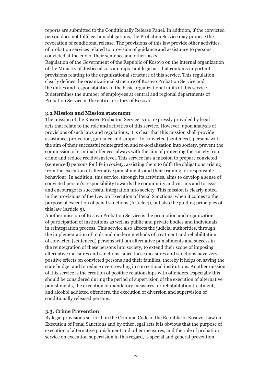reports are submitted to the Conditionally Release Panel. In addition, if the convicted person does not fulfil certain obligations, the Probation Service may propose the revocation of conditional release. The provisions of this law provide other activities of probation services related to provision of guidance and assistance to persons convicted at the end of their sentence and other tasks.

Regulation of the Government of the Republic of Kosovo on the internal organization of the Ministry of Justice also is an important legal act that contains important provisions relating to the organizational structure of this service. This regulation clearly defines the organizational structure of Kosovo Probation Service and the duties and responsibilities of the basic organizational units of this service. It determines the number of employees at central and regional departments of Probation Service in the entire territory of Kosovo.

#### **3.2 Mission and Mission statement**

The mission of the Kosovo Probation Service is not expressly provided by legal acts that relate to the role and activities of this service. However, upon analysis of provisions of such laws and regulations, it is clear that this mission shall provide assistance, protection, guidance and support to convicted (sentenced) persons with the aim of their successful reintegration and re-socialization into society, prevent the commission of criminal offences, always with the aim of protecting the society from crime and reduce recidivism level. This service has a mission to prepare convicted (sentenced) persons for life in society, assisting them to fulfil the obligations arising from the execution of alternative punishments and their training for responsible behaviour. In addition, this service, through its activities, aims to develop a sense of convicted person's responsibility towards the community and victims and to assist and encourage its successful integration into society. This mission is clearly noted in the provisions of the Law on Execution of Penal Sanctions, when it comes to the purpose of execution of penal sanctions (Article 4), but also the guiding principles of this law (Article 5).

Another mission of Kosovo Probation Service is the promotion and organization of participation of institutions as well as public and private bodies and individuals in reintegration process. This service also affects the judicial authorities, through the implementation of tools and modern methods of treatment and rehabilitation of convicted (sentenced) persons with an alternative punishments and success in the reintegration of these persons into society, to extend their scope of imposing alternative measures and sanctions, since these measures and sanctions have very positive effects on convicted persons and their families, thereby it helps on saving the state budget and to reduce overcrowding in correctional institutions. Another mission of this service is the creation of positive relationships with offenders, especially this should be considered during the period of supervision of the execution of alternative punishments, the execution of mandatory measures for rehabilitation treatment, and alcohol addicted offenders, the execution of diversion and supervision of conditionally released persons.

#### **3.3. Crime Prevention**

By legal provisions set forth in the Criminal Code of the Republic of Kosovo, Law on Execution of Penal Sanctions and by other legal acts it is obvious that the purpose of execution of alternative punishment and other measures, and the role of probation service on execution supervision in this regard, is special and general prevention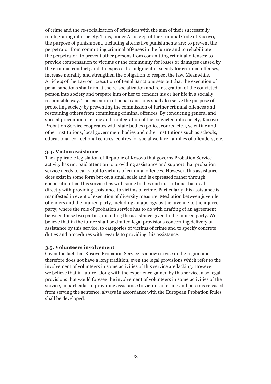of crime and the re-socialization of offenders with the aim of their successfully reintegrating into society. Thus, under Article 41 of the Criminal Code of Kosovo, the purpose of punishment, including alternative punishments are: to prevent the perpetrator from committing criminal offenses in the future and to rehabilitate the perpetrator; to prevent other persons from committing criminal offenses; to provide compensation to victims or the community for losses or damages caused by the criminal conduct; and: to express the judgment of society for criminal offenses, increase morality and strengthen the obligation to respect the law. Meanwhile, Article 4 of the Law on Execution of Penal Sanctions sets out that the execution of penal sanctions shall aim at the re-socialization and reintegration of the convicted person into society and prepare him or her to conduct his or her life in a socially responsible way. The execution of penal sanctions shall also serve the purpose of protecting society by preventing the commission of further criminal offences and restraining others from committing criminal offences. By conducting general and special prevention of crime and reintegration of the convicted into society, Kosovo Probation Service cooperates with state bodies (police, courts, etc.), scientific and other institutions, local government bodies and other institutions such as schools, educational-correctional centres, centres for social welfare, families of offenders, etc.

#### **3.4. Victim assistance**

The applicable legislation of Republic of Kosovo that governs Probation Service activity has not paid attention to providing assistance and support that probation service needs to carry out to victims of criminal offences. However, this assistance does exist in some form but on a small scale and is expressed rather through cooperation that this service has with some bodies and institutions that deal directly with providing assistance to victims of crime. Particularly this assistance is manifested in event of execution of diversity measure: Mediation between juvenile offenders and the injured party, including an apology by the juvenile to the injured party; where the role of probation service has to do with drafting of an agreement between these two parties, including the assistance given to the injured party. We believe that in the future shall be drafted legal provisions concerning delivery of assistance by this service, to categories of victims of crime and to specify concrete duties and procedures with regards to providing this assistance.

#### **3.5. Volunteers involvement**

Given the fact that Kosovo Probation Service is a new service in the region and therefore does not have a long tradition, even the legal provisions which refer to the involvement of volunteers in some activities of this service are lacking. However, we believe that in future, along with the experience gained by this service, also legal provisions that would foresee the involvement of volunteers in some activities of the service, in particular in providing assistance to victims of crime and persons released from serving the sentence, always in accordance with the European Probation Rules shall be developed.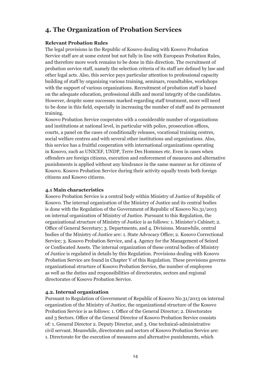## **4. The Organization of Probation Services**

#### **Relevant Probation Rules**

The legal provisions in the Republic of Kosovo dealing with Kosovo Probation Service staff are at some extent but not fully in line with European Probation Rules, and therefore more work remains to be done in this direction. The recruitment of probation service staff, namely the selection criteria of its staff are defined by law and other legal acts. Also, this service pays particular attention to professional capacity building of staff by organizing various training, seminars, roundtables, workshops with the support of various organizations. Recruitment of probation staff is based on the adequate education, professional skills and moral integrity of the candidates. However, despite some successes marked regarding staff treatment, more will need to be done in this field, especially in increasing the number of staff and its permanent training.

Kosovo Probation Service cooperates with a considerable number of organizations and institutions at national level, in particular with police, prosecution offices, courts, a panel on the cases of conditionally releases, vocational training centres, social welfare centres and with several other institutions and organizations. Also, this service has a fruitful cooperation with international organizations operating in Kosovo, such as UNICEF, UNDP, Terre Des Hommes etc. Even in cases when offenders are foreign citizens, execution and enforcement of measures and alternative punishments is applied without any hindrance in the same manner as for citizens of Kosovo. Kosovo Probation Service during their activity equally treats both foreign citizens and Kosovo citizens.

#### **4.1 Main characteristics**

Kosovo Probation Service is a central body within Ministry of Justice of Republic of Kosovo. The internal organization of the Ministry of Justice and its central bodies is done with the Regulation of the Government of Republic of Kosovo No.31/2013 on internal organization of Ministry of Justice. Pursuant to this Regulation, the organizational structure of Ministry of Justice is as follows: 1. Minister's Cabinet; 2. Office of General Secretary; 3. Departments, and 4. Divisions. Meanwhile, central bodies of the Ministry of Justice are: 1. State Advocacy Office; 2. Kosovo Correctional Service; 3. Kosovo Probation Service, and 4. Agency for the Management of Seized or Confiscated Assets. The internal organization of these central bodies of Ministry of Justice is regulated in details by this Regulation. Provisions dealing with Kosovo Probation Service are found in Chapter V of this Regulation. These provisions governs organizational structure of Kosovo Probation Service, the number of employees as well as the duties and responsibilities of directorates, sectors and regional directorates of Kosovo Probation Service.

#### **4.2. Internal organization**

Pursuant to Regulation of Government of Republic of Kosovo No.31/2013 on internal organization of the Ministry of Justice, the organizational structure of the Kosovo Probation Service is as follows: 1. Office of the General Director; 2. Directorates and 3 Sectors. Office of the General Director of Kosovo Probation Service consists of: 1. General Director 2. Deputy Director, and 3. One technical-administrative civil servant. Meanwhile, directorates and sectors of Kosovo Probation Service are: 1. Directorate for the execution of measures and alternative punishments, which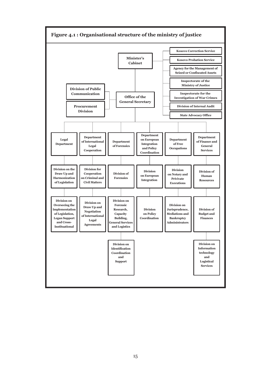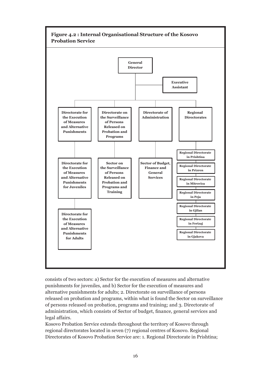

consists of two sectors: a) Sector for the execution of measures and alternative punishments for juveniles, and b) Sector for the execution of measures and alternative punishments for adults; 2. Directorate on surveillance of persons released on probation and programs, within what is found the Sector on surveillance of persons released on probation, programs and training; and 3. Directorate of administration, which consists of Sector of budget, finance, general services and legal affairs.

Kosovo Probation Service extends throughout the territory of Kosovo through regional directorates located in seven (7) regional centres of Kosovo. Regional Directorates of Kosovo Probation Service are: 1. Regional Directorate in Prishtina;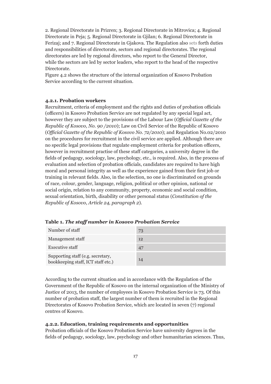2. Regional Directorate in Prizren; 3. Regional Directorate in Mitrovica; 4. Regional Directorate in Peja; 5. Regional Directorate in Gjilan; 6. Regional Directorate in Ferizaj; and 7. Regional Directorate in Gjakova. The Regulation also sets forth duties and responsibilities of directorate, sectors and regional directorates. The regional directorates are led by regional directors, who report to the General Director, while the sectors are led by sector leaders, who report to the head of the respective Directorate.

Figure 4.2 shows the structure of the internal organization of Kosovo Probation Service according to the current situation.

#### **4.2.1. Probation workers**

Recruitment, criteria of employment and the rights and duties of probation officials (officers) in Kosovo Probation Service are not regulated by any special legal act, however they are subject to the provisions of the Labour Law (*Official Gazette of the Republic of Kosovo, No. 90 /2010*); Law on Civil Service of the Republic of Kosovo (*Official Gazette of the Republic of Kosovo No. 72/2010*); and Regulation No.02/2010 on the procedures for recruitment in the civil service are applied. Although there are no specific legal provisions that regulate employment criteria for probation officers, however in recruitment practise of these staff categories, a university degree in the fields of pedagogy, sociology, law, psychology, etc., is required. Also, in the process of evaluation and selection of probation officials, candidates are required to have high moral and personal integrity as well as the experience gained from their first job or training in relevant fields. Also, in the selection, no one is discriminated on grounds of race, colour, gender, language, religion, political or other opinion, national or social origin, relation to any community, property, economic and social condition, sexual orientation, birth, disability or other personal status (*Constitution of the Republic of Kosovo, Article 24, paragraph 2*).

| Number of staff                                                         | 73 |
|-------------------------------------------------------------------------|----|
| Management staff                                                        | 12 |
| <b>Executive staff</b>                                                  | 47 |
| Supporting staff (e.g. secretary,<br>bookkeeping staff, ICT staff etc.) | 14 |

**Table 1.** *The staff number in Kosovo Probation Service*

According to the current situation and in accordance with the Regulation of the Government of the Republic of Kosovo on the internal organization of the Ministry of Justice of 2013, the number of employees in Kosovo Probation Service is 73. Of this number of probation staff, the largest number of them is recruited in the Regional Directorates of Kosovo Probation Service, which are located in seven (7) regional centres of Kosovo.

#### **4.2.2. Education, training requirements and opportunities**

Probation officials of the Kosovo Probation Service have university degrees in the fields of pedagogy, sociology, law, psychology and other humanitarian sciences. Thus,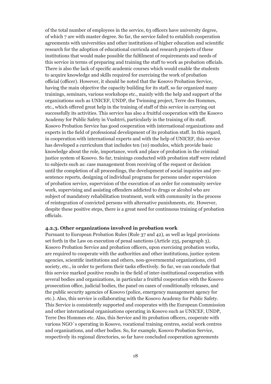of the total number of employees in the service, 63 officers have university degree, of which 7 are with master degree. So far, the service failed to establish cooperation agreements with universities and other institutions of higher education and scientific research for the adoption of educational curricula and research projects of these institutions that would make possible the fulfilment of requirements and needs of this service in terms of preparing and training the staff to work as probation officials. There is also the lack of specific academic courses which would enable the students to acquire knowledge and skills required for exercising the work of probation official (officer). However, it should be noted that the Kosovo Probation Service, having the main objective the capacity building for its staff, so far organized many trainings, seminars, various workshops etc., mainly with the help and support of the organizations such as UNICEF, UNDP, the Twinning project, Terre des Hommes, etc., which offered great help in the training of staff of this service in carrying out successfully its activities. This service has also a fruitful cooperation with the Kosovo Academy for Public Safety in Vushtrri, particularly in the training of its staff. Kosovo Probation Service has good cooperation with international organizations and experts in the field of professional development of its probation staff. In this regard, in cooperation with international experts and with the help of UNICEF, this service has developed a curriculum that includes ten (10) modules, which provide basic knowledge about the role, importance, work and place of probation in the criminal justice system of Kosovo. So far, trainings conducted with probation staff were related to subjects such as: case management from receiving of the request or decision until the completion of all proceedings, the development of social inquiries and presentence reports, designing of individual programs for persons under supervision of probation service, supervision of the execution of an order for community service work, supervising and assisting offenders addicted to drugs or alcohol who are subject of mandatory rehabilitation treatment, work with community in the process of reintegration of convicted persons with alternative punishments, etc. However, despite these positive steps, there is a great need for continuous training of probation officials.

#### **4.2.3. Other organizations involved in probation work**

Pursuant to European Probation Rules (Rule 37 and 42), as well as legal provisions set forth in the Law on execution of penal sanctions (Article 235, paragraph 3), Kosovo Probation Service and probation officers, upon exercising probation works, are required to cooperate with the authorities and other institutions, justice system agencies, scientific institutions and others, non-governmental organizations, civil society, etc., in order to perform their tasks effectively. So far, we can conclude that this service marked positive results in the field of inter-institutional cooperation with several bodies and organizations, in particular a fruitful cooperation with the Kosovo prosecution office, judicial bodies, the panel on cases of conditionally releases, and the public security agencies of Kosovo (police, emergency management agency for etc.). Also, this service is collaborating with the Kosovo Academy for Public Safety. This Service is consistently supported and cooperates with the European Commission and other international organisations operating in Kosovo such as UNICEF, UNDP, Terre Des Hommes etc. Also, this Service and its probation officers, cooperate with various NGO`s operating in Kosovo, vocational training centres, social work centres and organizations, and other bodies. So, for example, Kosovo Probation Service, respectively its regional directories, so far have concluded cooperation agreements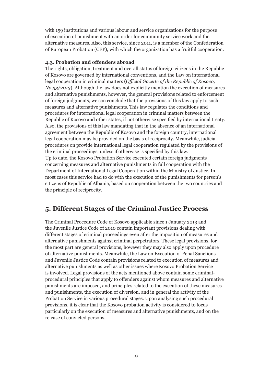with 159 institutions and various labour and service organizations for the purpose of execution of punishment with an order for community service work and the alternative measures. Also, this service, since 2011, is a member of the Confederation of European Probation (CEP), with which the organization has a fruitful cooperation.

#### **4.3. Probation and offenders abroad**

The rights, obligation, treatment and overall status of foreign citizens in the Republic of Kosovo are governed by international conventions, and the Law on international legal cooperation in criminal matters (*Official Gazette of the Republic of Kosovo, No.33/2013*). Although the law does not explicitly mention the execution of measures and alternative punishments, however, the general provisions related to enforcement of foreign judgments, we can conclude that the provisions of this law apply to such measures and alternative punishments. This law regulates the conditions and procedures for international legal cooperation in criminal matters between the Republic of Kosovo and other states, if not otherwise specified by international treaty. Also, the provisions of this law mandating that in the absence of an international agreement between the Republic of Kosovo and the foreign country, international legal cooperation may be provided on the basis of reciprocity. Meanwhile, judicial procedures on provide international legal cooperation regulated by the provisions of the criminal proceedings, unless if otherwise is specified by this law. Up to date, the Kosovo Probation Service executed certain foreign judgments concerning measures and alternative punishments in full cooperation with the Department of International Legal Cooperation within the Ministry of Justice. In most cases this service had to do with the execution of the punishments for person's citizens of Republic of Albania, based on cooperation between the two countries and the principle of reciprocity.

## **5. Different Stages of the Criminal Justice Process**

The Criminal Procedure Code of Kosovo applicable since 1 January 2013 and the Juvenile Justice Code of 2010 contain important provisions dealing with different stages of criminal proceedings even after the imposition of measures and alternative punishments against criminal perpetrators. These legal provisions, for the most part are general provisions, however they may also apply upon procedure of alternative punishments. Meanwhile, the Law on Execution of Penal Sanctions and Juvenile Justice Code contain provisions related to execution of measures and alternative punishments as well as other issues where Kosovo Probation Service is involved. Legal provisions of the acts mentioned above contain some criminalprocedural principles that apply to offenders against whom measures and alternative punishments are imposed, and principles related to the execution of these measures and punishments, the execution of diversion, and in general the activity of the Probation Service in various procedural stages. Upon analysing such procedural provisions, it is clear that the Kosovo probation activity is considered to focus particularly on the execution of measures and alternative punishments, and on the release of convicted persons.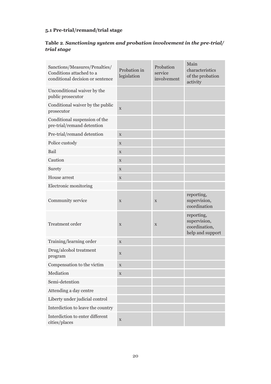## **5.1 Pre-trial/remand/trial stage**

## **Table 2***. Sanctioning system and probation involvement in the pre-trial/ trial stage*

| Sanctions/Measures/Penalties/<br>Conditions attached to a<br>conditional decision or sentence | Probation in<br>legislation | Probation<br>service<br>involvement | Main<br>characteristics<br>of the probation<br>activity         |
|-----------------------------------------------------------------------------------------------|-----------------------------|-------------------------------------|-----------------------------------------------------------------|
| Unconditional waiver by the<br>public prosecutor                                              |                             |                                     |                                                                 |
| Conditional waiver by the public<br>prosecutor                                                | $\mathbf X$                 |                                     |                                                                 |
| Conditional suspension of the<br>pre-trial/remand detention                                   |                             |                                     |                                                                 |
| Pre-trial/remand detention                                                                    | $\mathbf X$                 |                                     |                                                                 |
| Police custody                                                                                | X                           |                                     |                                                                 |
| Bail                                                                                          | X                           |                                     |                                                                 |
| Caution                                                                                       | $\mathbf X$                 |                                     |                                                                 |
| Surety                                                                                        | $\mathbf X$                 |                                     |                                                                 |
| House arrest                                                                                  | X                           |                                     |                                                                 |
| Electronic monitoring                                                                         |                             |                                     |                                                                 |
| Community service                                                                             | X                           | $\mathbf X$                         | reporting,<br>supervision,<br>coordination                      |
| Treatment order                                                                               | $\mathbf X$                 | $\mathbf X$                         | reporting,<br>supervision,<br>coordination,<br>help and support |
| Training/learning order                                                                       | X                           |                                     |                                                                 |
| Drug/alcohol treatment<br>program                                                             | $\mathbf X$                 |                                     |                                                                 |
| Compensation to the victim                                                                    | X                           |                                     |                                                                 |
| Mediation                                                                                     | $\mathbf X$                 |                                     |                                                                 |
| Semi-detention                                                                                |                             |                                     |                                                                 |
| Attending a day centre                                                                        |                             |                                     |                                                                 |
| Liberty under judicial control                                                                |                             |                                     |                                                                 |
| Interdiction to leave the country                                                             |                             |                                     |                                                                 |
| Interdiction to enter different<br>cities/places                                              | $\mathbf X$                 |                                     |                                                                 |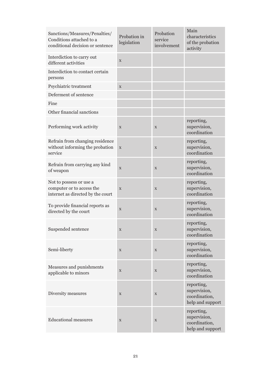| Sanctions/Measures/Penalties/<br>Conditions attached to a<br>conditional decision or sentence | Probation in<br>legislation | Probation<br>service<br>involvement | Main<br>characteristics<br>of the probation<br>activity         |
|-----------------------------------------------------------------------------------------------|-----------------------------|-------------------------------------|-----------------------------------------------------------------|
| Interdiction to carry out<br>different activities                                             | X                           |                                     |                                                                 |
| Interdiction to contact certain<br>persons                                                    |                             |                                     |                                                                 |
| Psychiatric treatment                                                                         | X                           |                                     |                                                                 |
| Deferment of sentence                                                                         |                             |                                     |                                                                 |
| Fine                                                                                          |                             |                                     |                                                                 |
| Other financial sanctions                                                                     |                             |                                     |                                                                 |
| Performing work activity                                                                      | X                           | X                                   | reporting,<br>supervision,<br>coordination                      |
| Refrain from changing residence<br>without informing the probation<br>service                 | X                           | X                                   | reporting,<br>supervision,<br>coordination                      |
| Refrain from carrying any kind<br>of weapon                                                   | X                           | X                                   | reporting,<br>supervision,<br>coordination                      |
| Not to possess or use a<br>computer or to access the<br>internet as directed by the court     | X                           | $\mathbf X$                         | reporting,<br>supervision,<br>coordination                      |
| To provide financial reports as<br>directed by the court                                      | X                           | $\mathbf X$                         | reporting,<br>supervision,<br>coordination                      |
| Suspended sentence                                                                            | X                           | X                                   | reporting,<br>supervision,<br>coordination                      |
| Semi-liberty                                                                                  | X                           | $\mathbf X$                         | reporting,<br>supervision,<br>coordination                      |
| Measures and punishments<br>applicable to minors                                              | $\mathbf X$                 | $\mathbf X$                         | reporting,<br>supervision,<br>coordination                      |
| Diversity measures                                                                            | X                           | $\mathbf X$                         | reporting,<br>supervision,<br>coordination,<br>help and support |
| <b>Educational measures</b>                                                                   | $\mathbf X$                 | $\mathbf X$                         | reporting,<br>supervision,<br>coordination,<br>help and support |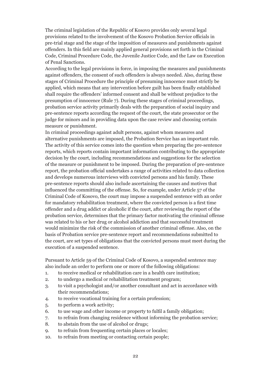The criminal legislation of the Republic of Kosovo provides only several legal provisions related to the involvement of the Kosovo Probation Service officials in pre-trial stage and the stage of the imposition of measures and punishments against offenders. In this field are mainly applied general provisions set forth in the Criminal Code, Criminal Procedure Code, the Juvenile Justice Code, and the Law on Execution of Penal Sanctions.

According to the legal provisions in force, in imposing the measures and punishments against offenders, the consent of such offenders is always needed. Also, during these stages of Criminal Procedure the principle of presuming innocence must strictly be applied, which means that any intervention before guilt has been finally established shall require the offenders' informed consent and shall be without prejudice to the presumption of innocence (Rule 7). During these stages of criminal proceedings, probation service activity primarily deals with the preparation of social inquiry and pre-sentence reports according the request of the court, the state prosecutor or the judge for minors and in providing data upon the case review and choosing certain measure or punishment.

In criminal proceedings against adult persons, against whom measures and alternative punishments are imposed, the Probation Service has an important role. The activity of this service comes into the question when preparing the pre-sentence reports, which reports contain important information contributing to the appropriate decision by the court, including recommendations and suggestions for the selection of the measure or punishment to be imposed. During the preparation of pre-sentence report, the probation official undertakes a range of activities related to data collection and develops numerous interviews with convicted persons and his family. These pre-sentence reports should also include ascertaining the causes and motives that influenced the committing of the offense. So, for example, under Article 57 of the Criminal Code of Kosovo, the court may impose a suspended sentence with an order for mandatory rehabilitation treatment, where the convicted person is a first time offender and a drug addict or alcoholic if the court, after reviewing the report of the probation service, determines that the primary factor motivating the criminal offense was related to his or her drug or alcohol addiction and that successful treatment would minimize the risk of the commission of another criminal offense. Also, on the basis of Probation service pre-sentence report and recommendations submitted to the court, are set types of obligations that the convicted persons must meet during the execution of a suspended sentence.

Pursuant to Article 59 of the Criminal Code of Kosovo, a suspended sentence may also include an order to perform one or more of the following obligations:

- 1. to receive medical or rehabilitation care in a health care institution;
- 2. to undergo a medical or rehabilitation treatment program;
- 3. to visit a psychologist and/or another consultant and act in accordance with their recommendations;
- 4. to receive vocational training for a certain profession;
- 5. to perform a work activity;
- 6. to use wage and other income or property to fulfil a family obligation;
- 7. to refrain from changing residence without informing the probation service;
- 8. to abstain from the use of alcohol or drugs;
- 9. to refrain from frequenting certain places or locales;
- 10. to refrain from meeting or contacting certain people;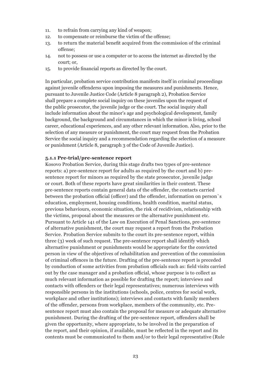- 11. to refrain from carrying any kind of weapon;
- 12. to compensate or reimburse the victim of the offense;
- 13. to return the material benefit acquired from the commission of the criminal offense;
- 14. not to possess or use a computer or to access the internet as directed by the court; or,
- 15. to provide financial reports as directed by the court.

In particular, probation service contribution manifests itself in criminal proceedings against juvenile offenderss upon imposing the measures and punishments. Hence, pursuant to Juvenile Justice Code (Article 8 paragraph 2), Probation Service shall prepare a complete social inquiry on these juveniles upon the request of the public prosecutor, the juvenile judge or the court. The social inquiry shall include information about the minor's age and psychological development, family background, the background and circumstances in which the minor is living, school career, educational experiences, and any other relevant information. Also, prior to the selection of any measure or punishment, the court may request from the Probation Service the social inquiry and a recommendation regarding the selection of a measure or punishment (Article 8, paragraph 3 of the Code of Juvenile Justice).

#### **5.1.1 Pre-trial/pre-sentence report**

Kosovo Probation Service, during this stage drafts two types of pre-sentence reports: a) pre-sentence report for adults as required by the court and b) presentence report for minors as required by the state prosecutor, juvenile judge or court. Both of these reports have great similarities in their content. These pre-sentence reports contain general data of the offender, the contacts carried between the probation official (officer) and the offender, information on person`s education, employment, housing conditions, health condition, marital status, previous behaviours, economic situation, the risk of recidivism, relationship with the victims, proposal about the measures or the alternative punishment etc. Pursuant to Article 141 of the Law on Execution of Penal Sanctions, pre-sentence of alternative punishment, the court may request a report from the Probation Service. Probation Service submits to the court its pre-sentence report, within three (3) week of such request. The pre-sentence report shall identify which alternative punishment or punishments would be appropriate for the convicted person in view of the objectives of rehabilitation and prevention of the commission of criminal offences in the future. Drafting of the pre-sentence report is preceded by conduction of some activities from probation officials such as: field visits carried out by the case manager and a probation official, whose purpose is to collect as much relevant information as possible for drafting the report; interviews and contacts with offenders or their legal representatives; numerous interviews with responsible persons in the institutions (schools, police, centres for social work, workplace and other institutions); interviews and contacts with family members of the offender, persons from workplace, members of the community, etc. Presentence report must also contain the proposal for measure or adequate alternative punishment. During the drafting of the pre-sentence report, offenders shall be given the opportunity, where appropriate, to be involved in the preparation of the report, and their opinion, if available, must be reflected in the report and its contents must be communicated to them and/or to their legal representative (Rule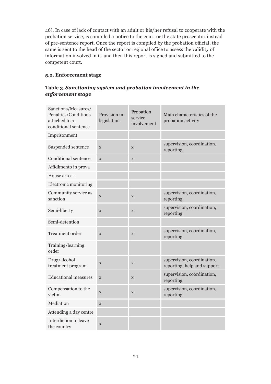46). In case of lack of contact with an adult or his/her refusal to cooperate with the probation service, is compiled a notice to the court or the state prosecutor instead of pre-sentence report. Once the report is compiled by the probation official, the same is sent to the head of the sector or regional office to assess the validity of information involved in it, and then this report is signed and submitted to the competent court.

#### **5.2. Enforcement stage**

#### **Table 3***. Sanctioning system and probation involvement in the enforcement stage*

| Sanctions/Measures/<br>Penalties/Conditions<br>attached to a<br>conditional sentence | Provision in<br>legislation | Probation<br>service<br>involvement | Main characteristics of the<br>probation activity         |
|--------------------------------------------------------------------------------------|-----------------------------|-------------------------------------|-----------------------------------------------------------|
| Imprisonment                                                                         |                             |                                     |                                                           |
| Suspended sentence                                                                   | $\mathbf X$                 | $\mathbf X$                         | supervision, coordination,<br>reporting                   |
| Conditional sentence                                                                 | X                           | X                                   |                                                           |
| Affidimento in prova                                                                 |                             |                                     |                                                           |
| House arrest                                                                         |                             |                                     |                                                           |
| Electronic monitoring                                                                |                             |                                     |                                                           |
| Community service as<br>sanction                                                     | $\mathbf X$                 | $\mathbf X$                         | supervision, coordination,<br>reporting                   |
| Semi-liberty                                                                         | $\mathbf X$                 | $\mathbf X$                         | supervision, coordination,<br>reporting                   |
| Semi-detention                                                                       |                             |                                     |                                                           |
| Treatment order                                                                      | $\mathbf X$                 | $\mathbf X$                         | supervision, coordination,<br>reporting                   |
| Training/learning<br>order                                                           |                             |                                     |                                                           |
| Drug/alcohol<br>treatment program                                                    | $\mathbf X$                 | X                                   | supervision, coordination,<br>reporting, help and support |
| <b>Educational measures</b>                                                          | X                           | $\mathbf X$                         | supervision, coordination,<br>reporting                   |
| Compensation to the<br>victim                                                        | $\mathbf X$                 | $\mathbf X$                         | supervision, coordination,<br>reporting                   |
| Mediation                                                                            | X                           |                                     |                                                           |
| Attending a day centre                                                               |                             |                                     |                                                           |
| Interdiction to leave<br>the country                                                 | X                           |                                     |                                                           |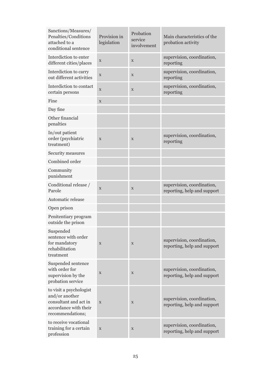| Sanctions/Measures/<br>Penalties/Conditions<br>attached to a<br>conditional sentence                            | Provision in<br>legislation | Probation<br>service<br>involvement | Main characteristics of the<br>probation activity         |
|-----------------------------------------------------------------------------------------------------------------|-----------------------------|-------------------------------------|-----------------------------------------------------------|
| Interdiction to enter<br>different cities/places                                                                | $\mathbf X$                 | X                                   | supervision, coordination,<br>reporting                   |
| Interdiction to carry<br>out different activities                                                               | $\mathbf X$                 | X                                   | supervision, coordination,<br>reporting                   |
| Interdiction to contact<br>certain persons                                                                      | $\mathbf X$                 | $\mathbf X$                         | supervision, coordination,<br>reporting                   |
| Fine                                                                                                            | $\mathbf X$                 |                                     |                                                           |
| Day fine                                                                                                        |                             |                                     |                                                           |
| Other financial<br>penalties                                                                                    |                             |                                     |                                                           |
| In/out patient<br>order (psychiatric<br>treatment)                                                              | X                           | $\mathbf X$                         | supervision, coordination,<br>reporting                   |
| Security measures                                                                                               |                             |                                     |                                                           |
| Combined order                                                                                                  |                             |                                     |                                                           |
| Community<br>punishment                                                                                         |                             |                                     |                                                           |
| Conditional release /<br>Parole                                                                                 | X                           | $\mathbf X$                         | supervision, coordination,<br>reporting, help and support |
| Automatic release                                                                                               |                             |                                     |                                                           |
| Open prison                                                                                                     |                             |                                     |                                                           |
| Penitentiary program<br>outside the prison                                                                      |                             |                                     |                                                           |
| Suspended<br>sentence with order<br>for mandatory<br>rehabilitation<br>treatment                                | $\mathbf X$                 | X                                   | supervision, coordination,<br>reporting, help and support |
| Suspended sentence<br>with order for<br>supervision by the<br>probation service                                 | X                           | X                                   | supervision, coordination,<br>reporting, help and support |
| to visit a psychologist<br>and/or another<br>consultant and act in<br>accordance with their<br>recommendations; | $\mathbf X$                 | X                                   | supervision, coordination,<br>reporting, help and support |
| to receive vocational<br>training for a certain<br>profession                                                   | $\mathbf X$                 | X                                   | supervision, coordination,<br>reporting, help and support |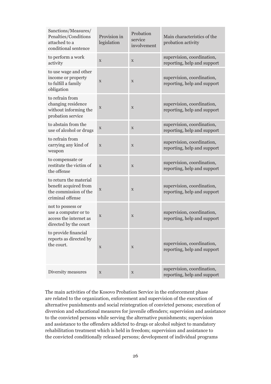| Sanctions/Measures/<br>Penalties/Conditions<br>attached to a<br>conditional sentence         | Provision in<br>legislation | Probation<br>service<br>involvement | Main characteristics of the<br>probation activity         |
|----------------------------------------------------------------------------------------------|-----------------------------|-------------------------------------|-----------------------------------------------------------|
| to perform a work<br>activity                                                                | X                           | X                                   | supervision, coordination,<br>reporting, help and support |
| to use wage and other<br>income or property<br>to fulfill a family<br>obligation             | $\mathbf X$                 | $\mathbf X$                         | supervision, coordination,<br>reporting, help and support |
| to refrain from<br>changing residence<br>without informing the<br>probation service          | X                           | $\mathbf X$                         | supervision, coordination,<br>reporting, help and support |
| to abstain from the<br>use of alcohol or drugs                                               | $\mathbf X$                 | X                                   | supervision, coordination,<br>reporting, help and support |
| to refrain from<br>carrying any kind of<br>weapon                                            | X                           | X                                   | supervision, coordination,<br>reporting, help and support |
| to compensate or<br>restitute the victim of<br>the offense                                   | X                           | $\mathbf X$                         | supervision, coordination,<br>reporting, help and support |
| to return the material<br>benefit acquired from<br>the commission of the<br>criminal offense | $\mathbf X$                 | X                                   | supervision, coordination,<br>reporting, help and support |
| not to possess or<br>use a computer or to<br>access the internet as<br>directed by the court | X                           | $\mathbf X$                         | supervision, coordination,<br>reporting, help and support |
| to provide financial<br>reports as directed by<br>the court.                                 | $\mathbf X$                 | $\mathbf X$                         | supervision, coordination,<br>reporting, help and support |
| Diversity measures                                                                           | $\mathbf X$                 | X                                   | supervision, coordination,<br>reporting, help and support |

The main activities of the Kosovo Probation Service in the enforcement phase are related to the organization, enforcement and supervision of the execution of alternative punishments and social reintegration of convicted persons; execution of diversion and educational measures for juvenile offenders; supervision and assistance to the convicted persons while serving the alternative punishments; supervision and assistance to the offenders addicted to drugs or alcohol subject to mandatory rehabilitation treatment which is held in freedom; supervision and assistance to the convicted conditionally released persons; development of individual programs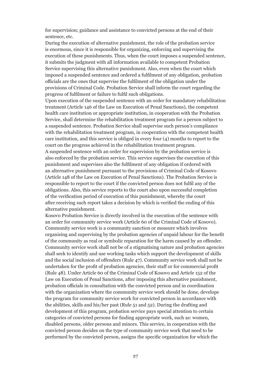for supervision; guidance and assistance to convicted persons at the end of their sentence, etc.

During the execution of alternative punishment, the role of the probation service is enormous, since it is responsible for organizing, enforcing and supervising the execution of these punishments. Thus, when the court imposes a suspended sentence, it submits the judgment with all information available to competent Probation Service supervising this alternative punishment. Also, even when the court which imposed a suspended sentence and ordered a fulfilment of any obligation, probation officials are the ones that supervise the fulfilment of the obligation under the provisions of Criminal Code. Probation Service shall inform the court regarding the progress of fulfilment or failure to fulfil such obligations.

Upon execution of the suspended sentence with an order for mandatory rehabilitation treatment (Article 146 of the Law on Execution of Penal Sanctions), the competent health care institution or appropriate institution, in cooperation with the Probation Service, shall determine the rehabilitation treatment program for a person subject to a suspended sentence. Probation Service shall supervise such person's compliance with the rehabilitation treatment program, in cooperation with the competent health care institution, and this service is obliged in every four (4) months to report to the court on the progress achieved in the rehabilitation treatment program.

A suspended sentence with an order for supervision by the probation service is also enforced by the probation service. This service supervises the execution of this punishment and supervises also the fulfilment of any obligation if ordered with an alternative punishment pursuant to the provisions of Criminal Code of Kosovo (Article 148 of the Law on Execution of Penal Sanctions). The Probation Service is responsible to report to the court if the convicted person does not fulfil any of the obligations. Also, this service reports to the court also upon successful completion of the verification period of execution of this punishment, whereby the court after receiving such report takes a decision by which is verified the ending of this alternative punishment.

Kosovo Probation Service is directly involved in the execution of the sentence with an order for community service work (Article 60 of the Criminal Code of Kosovo). Community service work is a community sanction or measure which involves organising and supervising by the probation agencies of unpaid labour for the benefit of the community as real or symbolic reparation for the harm caused by an offender. Community service work shall not be of a stigmatising nature and probation agencies shall seek to identify and use working tasks which support the development of skills and the social inclusion of offenders (Rule 47). Community service work shall not be undertaken for the profit of probation agencies, their staff or for commercial profit (Rule 48). Under Article 60 of the Criminal Code of Kosovo and Article 152 of the Law on Execution of Penal Sanctions, after imposing this alternative punishment, probation officials in consultation with the convicted person and in coordination with the organization where the community service work should be done, develops the program for community service work for convicted person in accordance with the abilities, skills and his/her past (Rule 51 and 52). During the drafting and development of this program, probation service pays special attention to certain categories of convicted persons for finding appropriate work, such as: women, disabled persons, older persons and minors. This service, in cooperation with the convicted person decides on the type of community service work that need to be performed by the convicted person, assigns the specific organization for which the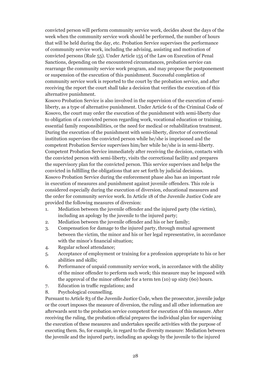convicted person will perform community service work, decides about the days of the week when the community service work should be performed, the number of hours that will be held during the day, etc. Probation Service supervises the performance of community service work, including the advising, assisting and motivation of convicted persons (Rule 55). Under Article 155 of the Law on Execution of Penal Sanctions, depending on the encountered circumstances, probation service can rearrange the community service work program, and may propose the postponement or suspension of the execution of this punishment. Successful completion of community service work is reported to the court by the probation service, and after receiving the report the court shall take a decision that verifies the execution of this alternative punishment.

Kosovo Probation Service is also involved in the supervision of the execution of semiliberty, as a type of alternative punishment. Under Article 61 of the Criminal Code of Kosovo, the court may order the execution of the punishment with semi-liberty due to obligation of a convicted person regarding work, vocational education or training, essential family responsibilities, or the need for medical or rehabilitation treatment. During the execution of the punishment with semi-liberty, director of correctional institution supervises the convicted person while he/she is imprisoned and the competent Probation Service supervises him/her while he/she is in semi-liberty. Competent Probation Service immediately after receiving the decision, contacts with the convicted person with semi-liberty, visits the correctional facility and prepares the supervisory plan for the convicted person. This service supervises and helps the convicted in fulfilling the obligations that are set forth by judicial decisions. Kosovo Probation Service during the enforcement phase also has an important role in execution of measures and punishment against juvenile offenders. This role is considered especially during the execution of diversion, educational measures and the order for community service work. In Article 18 of the Juvenile Justice Code are provided the following measures of diversion:

- 1. Mediation between the juvenile offender and the injured party (the victim), including an apology by the juvenile to the injured party;
- 2. Mediation between the juvenile offender and his or her family;
- 3. Compensation for damage to the injured party, through mutual agreement between the victim, the minor and his or her legal representative, in accordance with the minor's financial situation;
- 4. Regular school attendance;
- 5. Acceptance of employment or training for a profession appropriate to his or her abilities and skills;
- 6. Performance of unpaid community service work, in accordance with the ability of the minor offender to perform such work; this measure may be imposed with the approval of the minor offender for a term ten (10) up sixty (60) hours.
- 7. Education in traffic regulations; and
- 8. Psychological counselling.

Pursuant to Article 83 of the Juvenile Justice Code, when the prosecutor, juvenile judge or the court imposes the measure of diversion, the ruling and all other information are afterwards sent to the probation service competent for execution of this measure. After receiving the ruling, the probation official prepares the individual plan for supervising the execution of these measures and undertakes specific activities with the purpose of executing them. So, for example, in regard to the diversity measure: Mediation between the juvenile and the injured party, including an apology by the juvenile to the injured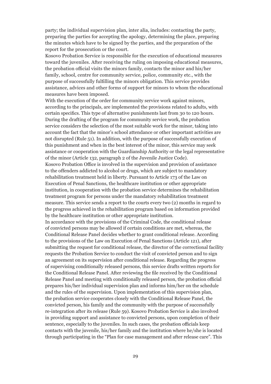party; the individual supervision plan, inter alia, includes: contacting the party, preparing the parties for accepting the apology, determining the place, preparing the minutes which have to be signed by the parties, and the preparation of the report for the prosecution or the court.

Kosovo Probation Service is responsible for the execution of educational measures toward the juveniles. After receiving the ruling on imposing educational measures, the probation official visits the minors family, contacts the minor and his/her family, school, centre for community service, police, community etc., with the purpose of successfully fulfilling the minors obligation. This service provides assistance, advices and other forms of support for minors to whom the educational measures have been imposed.

With the execution of the order for community service work against minors, according to the principals, are implemented the provisions related to adults, with certain specifics. This type of alternative punishments last from 30 to 120 hours. During the drafting of the program for community service work, the probation service considers the selection of the most suitable work for the minor, taking into account the fact that the minor's school attendance or other important activities are not disrupted (Rule 51). In addition, with the purpose of successfully execution of this punishment and when in the best interest of the minor, this service may seek assistance or cooperation with the Guardianship Authority or the legal representative of the minor (Article 132, paragraph 2 of the Juvenile Justice Code).

Kosovo Probation Office is involved in the supervision and provision of assistance to the offenders addicted to alcohol or drugs, which are subject to mandatory rehabilitation treatment held in liberty. Pursuant to Article 173 of the Law on Execution of Penal Sanctions, the healthcare institution or other appropriate institution, in cooperation with the probation service determines the rehabilitation treatment program for persons under the mandatory rehabilitation treatment measure. This service sends a report to the courts every two (2) months in regard to the progress achieved in the rehabilitation program based on information provided by the healthcare institution or other appropriate institution.

In accordance with the provisions of the Criminal Code, the conditional release of convicted persons may be allowed if certain conditions are met, whereas, the Conditional Release Panel decides whether to grant conditional release. According to the provisions of the Law on Execution of Penal Sanctions (Article 121), after submitting the request for conditional release, the director of the correctional facility requests the Probation Service to conduct the visit of convicted person and to sign an agreement on its supervision after conditional release. Regarding the progress of supervising conditionally released persons, this service drafts written reports for the Conditional Release Panel. After reviewing the file received by the Conditional Release Panel and meeting with conditionally released person, the probation official prepares his/her individual supervision plan and informs him/her on the schedule and the rules of the supervision. Upon implementation of this supervision plan, the probation service cooperates closely with the Conditional Release Panel, the convicted person, his family and the community with the purpose of successfully re-integration after its release (Rule 59). Kosovo Probation Service is also involved in providing support and assistance to convicted persons, upon completion of their sentence, especially to the juveniles. In such cases, the probation officials keep contacts with the juvenile, his/her family and the institution where he/she is located through participating in the "Plan for case management and after release care". This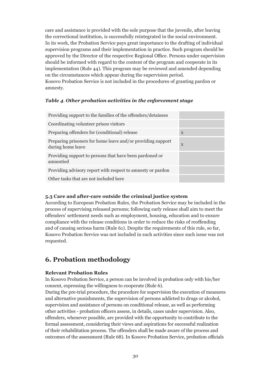care and assistance is provided with the sole purpose that the juvenile, after leaving the correctional institution, is successfully reintegrated in the social environment. In its work, the Probation Service pays great importance to the drafting of individual supervision programs and their implementation in practice. Such program should be approved by the Director of the respective Regional Office. Persons under supervision should be informed with regard to the content of the program and cooperate in its implementation (Rule 44). This program may be reviewed and amended depending on the circumstances which appear during the supervision period. Kosovo Probation Service is not included in the procedures of granting pardon or amnesty.

#### *Table 4. Other probation activities in the enforcement stage*

| Providing support to the families of the offenders/detainees                     |              |
|----------------------------------------------------------------------------------|--------------|
| Coordinating volunteer prison visitors                                           |              |
| Preparing offenders for (conditional) release                                    | $\mathbf{X}$ |
| Preparing prisoners for home leave and/or providing support<br>during home leave | $\mathbf{X}$ |
| Providing support to persons that have been pardoned or<br>amnestied             |              |
| Providing advisory report with respect to amnesty or pardon                      |              |
| Other tasks that are not included here                                           |              |

#### **5.3 Care and after-care outside the criminal justice system**

According to European Probation Rules, the Probation Service may be included in the process of supervising released persons; following early release shall aim to meet the offenders' settlement needs such as employment, housing, education and to ensure compliance with the release conditions in order to reduce the risks of reoffending and of causing serious harm (Rule 61). Despite the requirements of this rule, so far, Kosovo Probation Service was not included in such activities since such issue was not requested.

## **6. Probation methodology**

#### **Relevant Probation Rules**

In Kosovo Probation Service, a person can be involved in probation only with his/her consent, expressing the willingness to cooperate (Rule 6).

During the pre-trial procedure, the procedure for supervision the execution of measures and alternative punishments, the supervision of persons addicted to drugs or alcohol, supervision and assistance of persons on conditional release, as well as performing other activities - probation officers assess, in details, cases under supervision. Also, offenders, whenever possible, are provided with the opportunity to contribute to the formal assessment, considering their views and aspirations for successful realization of their rehabilitation process. The offenders shall be made aware of the process and outcomes of the assessment (Rule 68). In Kosovo Probation Service, probation officials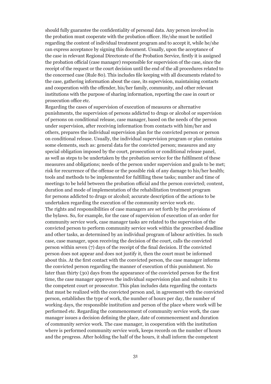should fully guarantee the confidentiality of personal data. Any person involved in the probation must cooperate with the probation officer. He/she must be notified regarding the content of individual treatment program and to accept it, while he/she can express acceptance by signing this document. Usually, upon the acceptance of the case in relevant Regional Directorate of the Probation Service, firstly it is assigned the probation official (case manager) responsible for supervision of the case, since the receipt of the request or the court decision until the end of the all procedures related to the concerned case (Rule 80). This includes file keeping with all documents related to the case, gathering information about the case, its supervision, maintaining contacts and cooperation with the offender, his/her family, community, and other relevant institutions with the purpose of sharing information, reporting the case in court or prosecution office etc.

Regarding the cases of supervision of execution of measures or alternative punishments, the supervision of persons addicted to drugs or alcohol or supervision of persons on conditional release, case manager, based on the needs of the person under supervision, after receiving information from contacts with him/her and others, prepares the individual supervision plan for the convicted person or person on conditional release. Usually, the individual supervision program or plan contains some elements, such as: general data for the convicted person; measures and any special obligation imposed by the court, prosecution or conditional release panel, as well as steps to be undertaken by the probation service for the fulfilment of these measures and obligations; needs of the person under supervision and goals to be met; risk for recurrence of the offense or the possible risk of any damage to his/her health; tools and methods to be implemented for fulfilling these tasks; number and time of meetings to be held between the probation official and the person convicted; content, duration and mode of implementation of the rehabilitation treatment program for persons addicted to drugs or alcohol; accurate description of the actions to be undertaken regarding the execution of the community service work etc. The rights and responsibilities of case managers are set forth by the provisions of the bylaws. So, for example, for the case of supervision of execution of an order for community service work, case manager tasks are related to the supervision of the convicted person to perform community service work within the prescribed deadline and other tasks, as determined by an individual program of labour activities. In such case, case manager, upon receiving the decision of the court, calls the convicted person within seven (7) days of the receipt of the final decision. If the convicted person does not appear and does not justify it, then the court must be informed about this. At the first contact with the convicted person, the case manager informs the convicted person regarding the manner of execution of this punishment. No later than thirty (30) days from the appearance of the convicted person for the first time, the case manager approves the individual supervision plan and submits it to the competent court or prosecutor. This plan includes data regarding the contacts that must be realized with the convicted person and, in agreement with the convicted person, establishes the type of work, the number of hours per day, the number of working days, the responsible institution and person of the place where work will be performed etc. Regarding the commencement of community service work, the case manager issues a decision defining the place, date of commencement and duration of community service work. The case manager, in cooperation with the institution where is performed community service work, keeps records on the number of hours and the progress. After holding the half of the hours, it shall inform the competent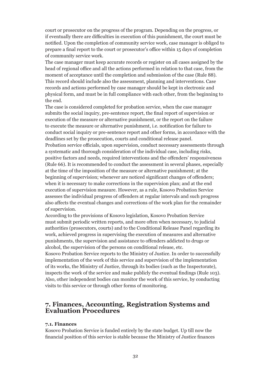court or prosecutor on the progress of the program. Depending on the progress, or if eventually there are difficulties in execution of this punishment, the court must be notified. Upon the completion of community service work, case manager is obliged to prepare a final report to the court or prosecutor's office within 15 days of completion of community service work.

The case manager must keep accurate records or register on all cases assigned by the head of regional office and all the actions performed in relation to that case, from the moment of acceptance until the completion and submission of the case (Rule 88). This record should include also the assessment, planning and interventions. Case records and actions performed by case manager should be kept in electronic and physical form, and must be in full compliance with each other, from the beginning to the end.

The case is considered completed for probation service, when the case manager submits the social inquiry, pre-sentence report, the final report of supervision or execution of the measure or alternative punishment, or the report on the failure to execute the measure or alternative punishment, i.e. notification for failure to conduct social inquiry or pre-sentence report and other forms, in accordance with the deadlines set by the prosecution, courts and conditional release panel.

Probation service officials, upon supervision, conduct necessary assessments through a systematic and thorough consideration of the individual case, including risks, positive factors and needs, required interventions and the offenders' responsiveness (Rule 66). It is recommended to conduct the assessment in several phases, especially at the time of the imposition of the measure or alternative punishment; at the beginning of supervision; whenever are noticed significant changes of offenders; when it is necessary to make corrections in the supervision plan; and at the end execution of supervision measure. However, as a rule, Kosovo Probation Service assesses the individual progress of offenders at regular intervals and such progress also affects the eventual changes and corrections of the work plan for the remainder of supervision.

According to the provisions of Kosovo legislation, Kosovo Probation Service must submit periodic written reports, and more often when necessary, to judicial authorities (prosecutors, courts) and to the Conditional Release Panel regarding its work, achieved progress in supervising the execution of measures and alternative punishments, the supervision and assistance to offenders addicted to drugs or alcohol, the supervision of the persons on conditional release, etc.

Kosovo Probation Service reports to the Ministry of Justice. In order to successfully implementation of the work of this service and supervision of the implementation of its works, the Ministry of Justice, through its bodies (such as the Inspectorate), inspects the work of the service and make publicly the eventual findings (Rule 103). Also, other independent bodies can monitor the work of this service, by conducting visits to this service or through other forms of monitoring.

## **7. Finances, Accounting, Registration Systems and Evaluation Procedures**

#### **7.1. Finances**

Kosovo Probation Service is funded entirely by the state budget. Up till now the financial position of this service is stable because the Ministry of Justice finances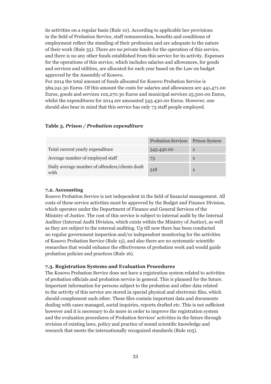its activities on a regular basis (Rule 10). According to applicable law provisions in the field of Probation Service, staff remuneration, benefits and conditions of employment reflect the standing of their profession and are adequate to the nature of their work (Rule 33). There are no private funds for the operation of this service, and there is no any other funds established from this service for its activity. Expenses for the operations of this service, which includes salaries and allowances, for goods and services and utilities, are allocated for each year based on the Law on budget approved by the Assembly of Kosovo.

For 2014 the total amount of funds allocated for Kosovo Probation Service is 569,241.30 Euros. Of this amount the costs for salaries and allowances are 441,471.00 Euros, goods and services 102,270.30 Euros and municipal services 25,500.00 Euros, whilst the expenditures for 2014 are amounted 543.430.00 Euros. However, one should also bear in mind that this service has only 73 staff people employed.

#### **Table 5***. Prison / Probation expenditure*

|                                                         | <b>Probation Services</b> | <b>Prison System</b> |
|---------------------------------------------------------|---------------------------|----------------------|
| Total current yearly expenditure                        | 543.430.00                | $\mathbf{X}$         |
| Average number of employed staff                        | 73                        | X                    |
| Daily average number of offenders/clients dealt<br>with | 518                       | X                    |

#### **7.2. Accounting**

Kosovo Probation Service is not independent in the field of financial management. All costs of these service activities must be approved by the Budget and Finance Division, which operates under the Department of Finance and General Services of the Ministry of Justice. The cost of this service is subject to internal audit by the Internal Auditor (Internal Audit Division, which exists within the Ministry of Justice), as well as they are subject to the external auditing. Up till now there has been conducted no regular government inspection and/or independent monitoring for the activities of Kosovo Probation Service (Rule 15), and also there are no systematic scientific researches that would enhance the effectiveness of probation work and would guide probation policies and practices (Rule 16).

#### **7.3. Registration Systems and Evaluation Procedures**

The Kosovo Probation Service does not have a registration system related to activities of probation officials and probation service in general. This is planned for the future. Important information for persons subject to the probation and other data related to the activity of this service are stored in special physical and electronic files, which should complement each other. These files contain important data and documents dealing with cases managed, social inquiries, reports drafted etc. This is not sufficient however and it is necessary to do more in order to improve the registration system and the evaluation procedures of Probation Services' activities in the future through revision of existing laws, policy and practice of sound scientific knowledge and research that meets the internationally recognized standards (Rule 105).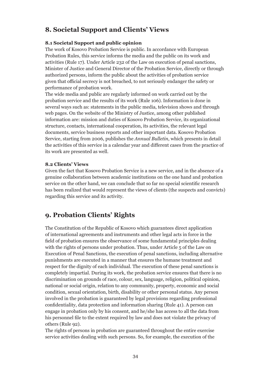## **8. Societal Support and Clients' Views**

#### **8.1 Societal Support and public opinion**

The work of Kosovo Probation Service is public. In accordance with European Probation Rules, this service informs the media and the public on its work and activities (Rule 17). Under Article 232 of the Law on execution of penal sanctions, Minister of Justice and General Director of the Probation Service, directly or through authorized persons, inform the public about the activities of probation service given that official secrecy is not breached, to not seriously endanger the safety or performance of probation work.

The wide media and public are regularly informed on work carried out by the probation service and the results of its work (Rule 106). Information is done in several ways such as: statements in the public media, television shows and through web pages. On the website of the Ministry of Justice, among other published information are: mission and duties of Kosovo Probation Service, its organizational structure, contacts, international cooperation, its activities, the relevant legal documents, service business reports and other important data. Kosovo Probation Service, starting from 2006, publishes the *Annual Bulletin*, which presents in detail the activities of this service in a calendar year and different cases from the practice of its work are presented as well.

#### **8.2 Clients' Views**

Given the fact that Kosovo Probation Service is a new service, and in the absence of a genuine collaboration between academic institutions on the one hand and probation service on the other hand, we can conclude that so far no special scientific research has been realized that would represent the views of clients (the suspects and convicts) regarding this service and its activity.

## **9. Probation Clients' Rights**

The Constitution of the Republic of Kosovo which guarantees direct application of international agreements and instruments and other legal acts in force in the field of probation ensures the observance of some fundamental principles dealing with the rights of persons under probation. Thus, under Article 5 of the Law on Execution of Penal Sanctions, the execution of penal sanctions, including alternative punishments are executed in a manner that ensures the humane treatment and respect for the dignity of each individual. The execution of these penal sanctions is completely impartial. During its work, the probation service ensures that there is no discrimination on grounds of race, colour, sex, language, religion, political opinion, national or social origin, relation to any community, property, economic and social condition, sexual orientation, birth, disability or other personal status. Any person involved in the probation is guaranteed by legal provisions regarding professional confidentiality, data protection and information sharing (Rule 41). A person can engage in probation only by his consent, and he/she has access to all the data from his personnel file to the extent required by law and does not violate the privacy of others (Rule 92).

The rights of persons in probation are guaranteed throughout the entire exercise service activities dealing with such persons. So, for example, the execution of the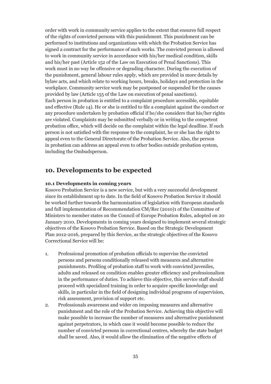order with work in community service applies to the extent that ensures full respect of the rights of convicted persons with this punishment. This punishment can be performed to institutions and organizations with which the Probation Service has signed a contract for the performance of such works. The convicted person is allowed to work in community service in accordance with his/her medical condition, skills and his/her past (Article 152 of the Law on Execution of Penal Sanctions). This work must in no way be offensive or degrading character. During the execution of the punishment, general labour rules apply, which are provided in more details by bylaw acts, and which relate to working hours, breaks, holidays and protection in the workplace. Community service work may be postponed or suspended for the causes provided by law (Article 155 of the Law on execution of penal sanctions). Each person in probation is entitled to a complaint procedure accessible, equitable and effective (Rule 14). He or she is entitled to file a complaint against the conduct or any procedure undertaken by probation official if he/she considers that his/her rights are violated. Complaints may be submitted verbally or in writing to the competent probation office, which will decide on the complaint within the legal deadline. If such person is not satisfied with the response to the complaint, he or she has the right to appeal even to the General Directorate of the Probation Service. Also, the person in probation can address an appeal even to other bodies outside probation system, including the Ombudsperson.

## **10. Developments to be expected**

#### **10.1 Developments in coming years**

Kosovo Probation Service is a new service, but with a very successful development since its establishment up to date. In the field of Kosovo Probation Service it should be worked further towards the harmonization of legislation with European standards and full implementation of Recommendation CM/Rec (2010)1 of the Committee of Ministers to member states on the Council of Europe Probation Rules, adopted on 20 January 2010. Developments in coming years designed to implement several strategic objectives of the Kosovo Probation Service. Based on the Strategic Development Plan 2012-2016, prepared by this Service, as the strategic objectives of the Kosovo Correctional Service will be:

- 1. Professional promotion of probation officials to supervise the convicted persons and persons conditionally released with measures and alternative punishments. Profiling of probation staff to work with convicted juveniles, adults and released on condition enables greater efficiency and professionalism in the performance of duties. To achieve this objective, this service staff should proceed with specialized training in order to acquire specific knowledge and skills, in particular in the field of designing individual programs of supervision, risk assessment, provision of support etc.
- 2. Professionals awareness and wider on imposing measures and alternative punishment and the role of the Probation Service. Achieving this objective will make possible to increase the number of measures and alternative punishment against perpetrators, in which case it would become possible to reduce the number of convicted persons in correctional centres, whereby the state budget shall be saved. Also, it would allow the elimination of the negative effects of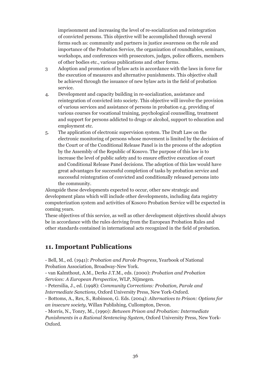imprisonment and increasing the level of re-socialization and reintegration of convicted persons. This objective will be accomplished through several forms such as: community and partners in justice awareness on the role and importance of the Probation Service, the organization of roundtables, seminars, workshops, and conferences with prosecutors, judges, police officers, members of other bodies etc., various publications and other forms.

- 3 Adoption and promotion of bylaw acts in accordance with the laws in force for the execution of measures and alternative punishments. This objective shall be achieved through the issuance of new bylaw acts in the field of probation service.
- 4. Development and capacity building in re-socialization, assistance and reintegration of convicted into society. This objective will involve the provision of various services and assistance of persons in probation e.g. providing of various courses for vocational training, psychological counselling, treatment and support for persons addicted to drugs or alcohol, support to education and employment etc.
- 5. The application of electronic supervision system. The Draft Law on the electronic monitoring of persons whose movement is limited by the decision of the Court or of the Conditional Release Panel is in the process of the adoption by the Assembly of the Republic of Kosovo. The purpose of this law is to increase the level of public safety and to ensure effective execution of court and Conditional Release Panel decisions. The adoption of this law would have great advantages for successful completion of tasks by probation service and successful reintegration of convicted and conditionally released persons into the community.

Alongside these developments expected to occur, other new strategic and development plans which will include other developments, including data registry computerization system and activities of Kosovo Probation Service will be expected in coming years.

These objectives of this service, as well as other development objectives should always be in accordance with the rules deriving from the European Probation Rules and other standards contained in international acts recognized in the field of probation.

## **11. Important Publications**

- Bell, M., ed. (1941): *Probation and Parole Progress*, Yearbook of National Probation Association, Broadway-New York.

- van Kalmthout, A.M., Derks J.T.M., eds. (2000): *Probation and Probation Services: A European Perspective,* WLP, Nijmegen.

- Petersilia, J., ed. (1998): *Community Corrections: Probation, Parole and Intermediate Sanctions,* Oxford University Press, New York-Oxford.

- Bottoms, A., Rex, S., Robinson, G. Eds. (2004): *Alternatives to Prison: Options for an insecure society,* Willan Publishing, Cullompton, Devon.

- Morris, N., Tonry, M., (1990): *Between Prison and Probation: Intermediate Punishments in a Rational Sentencing System*, Oxford University Press, New York-Oxford.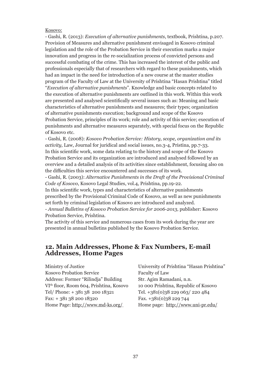#### Kosovo:

- Gashi, R. (2013): *Execution of alternative punishments*, textbook, Prishtina, p.207. Provision of Measures and alternative punishment envisaged in Kosovo criminal legislation and the role of the Probation Service in their execution marks a major innovation and progress in the re-socialization process of convicted persons and successful combating of the crime. This has increased the interest of the public and professionals especially that of researchers with regard to these punishments, which had an impact in the need for introduction of a new course at the master studies program of the Faculty of Law at the University of Prishtina "Hasan Prishtina" titled "*Execution of alternative punishments*". Knowledge and basic concepts related to the execution of alternative punishments are outlined in this work. Within this work are presented and analysed scientifically several issues such as: Meaning and basic characteristics of alternative punishments and measures; their types; organization of alternative punishments execution; background and scope of the Kosovo Probation Service, principles of its work; role and activity of this service; execution of punishments and alternative measures separately, with special focus on the Republic of Kosovo etc.

- Gashi, R. (2008): *Kosovo Probation Service: History, scope, organization and its activity,* Law, Journal for juridical and social issues, no.3-4, Pristina, pp.7-33. In this scientific work, some data relating to the history and scope of the Kosovo Probation Service and its organization are introduced and analysed followed by an overview and a detailed analysis of its activities since establishment, focusing also on the difficulties this service encountered and successes of its work.

- Gashi, R. (2003): *Alternative Punishments in the Draft of the Provisional Criminal Code of Kosovo*, Kosovo Legal Studies, vol.4, Prishtina, pp.19-22.

In this scientific work, types and characteristics of alternative punishments prescribed by the Provisional Criminal Code of Kosovo, as well as new punishments set forth by criminal legislation of Kosovo are introduced and analyzed.

- *Annual Bulletins of Kosovo Probation Service for 2006-2013*, publisher: Kosovo Probation Service, Prishtina.

The activity of this service and numerous cases from its work during the year are presented in annual bulletins published by the Kosovo Probation Service.

## **12. Main Addresses, Phone & Fax Numbers, E-mail Addresses, Home Pages**

| Ministry of Justice                                 | University of Prishtina "Hasan Prishtina" |
|-----------------------------------------------------|-------------------------------------------|
| <b>Kosovo Probation Service</b>                     | Faculty of Law                            |
| Address: Former "Rilindja" Building                 | Str. Agim Ramadani, n.n.                  |
| VI <sup>th</sup> floor, Room 604, Prishtina, Kosovo | 10 000 Prishtina, Republic of Kosovo      |
| Tel/Phone: +38138 200 18321                         | Tel. +381(0)38 229 063/220 484            |
| $Fax: + 3813820018320$                              | Fax. +381(0)38 229 744                    |
| Home Page: http://www.md-ks.org/                    | Home page: http://www.uni-pr.edu/         |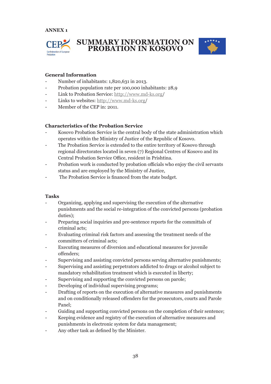



#### **General Information**

- Number of inhabitants: 1,820,631 in 2013.
- Probation population rate per 100,000 inhabitants: 28,9
- Link to Probation Service: http://www.md-ks.org/
- Links to websites: http://www.md-ks.org/
- Member of the CEP in: 2011.

#### **Characteristics of the Probation Service**

- Kosovo Probation Service is the central body of the state administration which operates within the Ministry of Justice of the Republic of Kosovo.
- The Probation Service is extended to the entire territory of Kosovo through regional directorates located in seven (7) Regional Centres of Kosovo and its Central Probation Service Office, resident in Prishtina.
- Probation work is conducted by probation officials who enjoy the civil servants status and are employed by the Ministry of Justice,
- The Probation Service is financed from the state budget.

#### **Tasks**

- Organizing, applying and supervising the execution of the alternative punishments and the social re-integration of the convicted persons (probation duties);
- Preparing social inquiries and pre-sentence reports for the committals of criminal acts;
- Evaluating criminal risk factors and assessing the treatment needs of the committers of criminal acts;
- Executing measures of diversion and educational measures for juvenile offenders;
- Supervising and assisting convicted persons serving alternative punishments;
- Supervising and assisting perpetrators addicted to drugs or alcohol subject to mandatory rehabilitation treatment which is executed in liberty;
- Supervising and supporting the convicted persons on parole;
- Developing of individual supervising programs;
- Drafting of reports on the execution of alternative measures and punishments and on conditionally released offenders for the prosecutors, courts and Parole Panel;
- Guiding and supporting convicted persons on the completion of their sentence;
- Keeping evidence and registry of the execution of alternative measures and punishments in electronic system for data management;
- Any other task as defined by the Minister.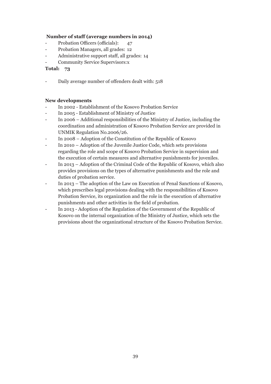#### **Number of staff (average numbers in 2014)**

- Probation Officers (officials): 47
- Probation Managers, all grades: 12
- Administrative support staff, all grades: 14
- Community Service Supervisors:x

#### **Total: 73**

Daily average number of offenders dealt with: 518

#### **New developments**

- In 2002 Establishment of the Kosovo Probation Service
- In 2005 Establishment of Ministry of Justice
- In 2006 Additional responsibilities of the Ministry of Justice, including the coordination and administration of Kosovo Probation Service are provided in UNMIK Regulation No.2006/26.
- In 2008 Adoption of the Constitution of the Republic of Kosovo
- In 2010 Adoption of the Juvenile Justice Code, which sets provisions regarding the role and scope of Kosovo Probation Service in supervision and the execution of certain measures and alternative punishments for juveniles.
- In 2013 Adoption of the Criminal Code of the Republic of Kosovo, which also provides provisions on the types of alternative punishments and the role and duties of probation service.
- In 2013 The adoption of the Law on Execution of Penal Sanctions of Kosovo, which prescribes legal provisions dealing with the responsibilities of Kosovo Probation Service, its organization and the role in the execution of alternative punishments and other activities in the field of probation.
- In 2013 Adoption of the Regulation of the Government of the Republic of Kosovo on the internal organization of the Ministry of Justice, which sets the provisions about the organizational structure of the Kosovo Probation Service.